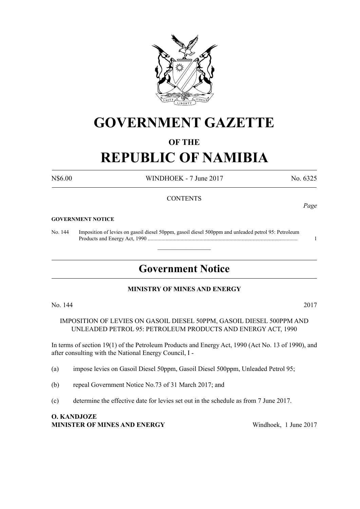

# **GOVERNMENT GAZETTE**

# **OF THE**

# **REPUBLIC OF NAMIBIA**

N\$6.00 WINDHOEK - 7 June 2017 No. 6325

# **CONTENTS**

#### **GOVERNMENT NOTICE**

No. 144 Imposition of levies on gasoil diesel 50ppm, gasoil diesel 500ppm and unleaded petrol 95: Petroleum Products and Energy Act, 1990 .............................................................................................................. 1

# **Government Notice**

 $\overline{\phantom{a}}$  , where  $\overline{\phantom{a}}$ 

### **MINISTRY OF MINES AND ENERGY**

No. 144 2017

IMPOSITION OF LEVIES ON GASOIL DIESEL 50PPM, GASOIL DIESEL 500PPM AND UNLEADED PETROL 95: PETROLEUM PRODUCTS AND ENERGY ACT, 1990

In terms of section 19(1) of the Petroleum Products and Energy Act, 1990 (Act No. 13 of 1990), and after consulting with the National Energy Council, I -

- (a) impose levies on Gasoil Diesel 50ppm, Gasoil Diesel 500ppm, Unleaded Petrol 95;
- (b) repeal Government Notice No.73 of 31 March 2017; and
- (c) determine the effective date for levies set out in the schedule as from 7 June 2017.

### **O. Kandjoze Minister of Mines and Energy** Windhoek, 1 June 2017

*Page*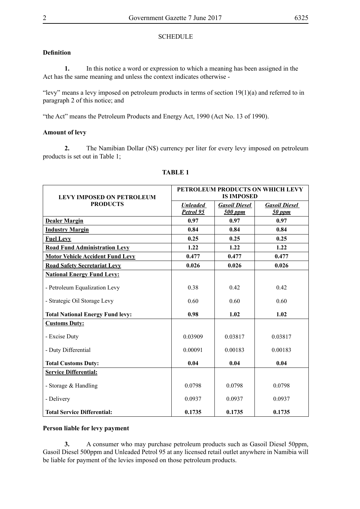#### **SCHEDULE**

# **Definition**

**1.** In this notice a word or expression to which a meaning has been assigned in the Act has the same meaning and unless the context indicates otherwise -

"levy" means a levy imposed on petroleum products in terms of section  $19(1)(a)$  and referred to in paragraph 2 of this notice; and

"the Act" means the Petroleum Products and Energy Act, 1990 (Act No. 13 of 1990).

### **Amount of levy**

**2.** The Namibian Dollar (N\$) currency per liter for every levy imposed on petroleum products is set out in Table 1;

| <b>LEVY IMPOSED ON PETROLEUM</b><br><b>PRODUCTS</b> | PETROLEUM PRODUCTS ON WHICH LEVY<br><b>IS IMPOSED</b> |                                 |                                |
|-----------------------------------------------------|-------------------------------------------------------|---------------------------------|--------------------------------|
|                                                     | <b>Unleaded</b><br>Petrol 95                          | <b>Gasoil Diesel</b><br>500 ppm | <b>Gasoil Diesel</b><br>50 ppm |
| <b>Dealer Margin</b>                                | 0.97                                                  | 0.97                            | 0.97                           |
| <b>Industry Margin</b>                              | 0.84                                                  | 0.84                            | 0.84                           |
| <b>Fuel Levy</b>                                    | 0.25                                                  | 0.25                            | 0.25                           |
| <b>Road Fund Administration Levy</b>                | 1.22                                                  | 1.22                            | 1.22                           |
| <b>Motor Vehicle Accident Fund Levy</b>             | 0.477                                                 | 0.477                           | 0.477                          |
| <b>Road Safety Secretariat Levy</b>                 | 0.026                                                 | 0.026                           | 0.026                          |
| <b>National Energy Fund Levy:</b>                   |                                                       |                                 |                                |
| - Petroleum Equalization Levy                       | 0.38                                                  | 0.42                            | 0.42                           |
| - Strategic Oil Storage Levy                        | 0.60                                                  | 0.60                            | 0.60                           |
| <b>Total National Energy Fund levy:</b>             | 0.98                                                  | 1.02                            | 1.02                           |
| <b>Customs Duty:</b>                                |                                                       |                                 |                                |
| - Excise Duty                                       | 0.03909                                               | 0.03817                         | 0.03817                        |
| - Duty Differential                                 | 0.00091                                               | 0.00183                         | 0.00183                        |
| <b>Total Customs Duty:</b>                          | 0.04                                                  | 0.04                            | 0.04                           |
| <b>Service Differential:</b>                        |                                                       |                                 |                                |
| - Storage & Handling                                | 0.0798                                                | 0.0798                          | 0.0798                         |
| - Delivery                                          | 0.0937                                                | 0.0937                          | 0.0937                         |
| <b>Total Service Differential:</b>                  | 0.1735                                                | 0.1735                          | 0.1735                         |

### **TABLE 1**

#### **Person liable for levy payment**

**3.** A consumer who may purchase petroleum products such as Gasoil Diesel 50ppm, Gasoil Diesel 500ppm and Unleaded Petrol 95 at any licensed retail outlet anywhere in Namibia will be liable for payment of the levies imposed on those petroleum products.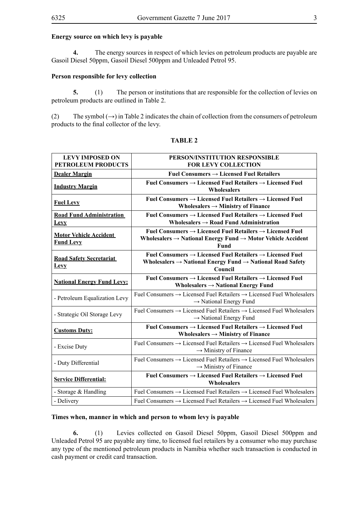#### **Energy source on which levy is payable**

**4.** The energy sources in respect of which levies on petroleum products are payable are Gasoil Diesel 50ppm, Gasoil Diesel 500ppm and Unleaded Petrol 95.

### **Person responsible for levy collection**

**5.** (1) The person or institutions that are responsible for the collection of levies on petroleum products are outlined in Table 2.

(2) The symbol  $(\rightarrow)$  in Table 2 indicates the chain of collection from the consumers of petroleum products to the final collector of the levy.

| <b>LEVY IMPOSED ON</b><br>PETROLEUM PRODUCTS      | PERSON/INSTITUTION RESPONSIBLE<br><b>FOR LEVY COLLECTION</b>                                                                                                                           |
|---------------------------------------------------|----------------------------------------------------------------------------------------------------------------------------------------------------------------------------------------|
| <b>Dealer Margin</b>                              | Fuel Consumers $\rightarrow$ Licensed Fuel Retailers                                                                                                                                   |
| <b>Industry Margin</b>                            | Fuel Consumers $\rightarrow$ Licensed Fuel Retailers $\rightarrow$ Licensed Fuel<br>Wholesalers                                                                                        |
| <b>Fuel Levy</b>                                  | Fuel Consumers $\rightarrow$ Licensed Fuel Retailers $\rightarrow$ Licensed Fuel<br>Wholesalers $\rightarrow$ Ministry of Finance                                                      |
| <b>Road Fund Administration</b><br>Levy           | Fuel Consumers $\rightarrow$ Licensed Fuel Retailers $\rightarrow$ Licensed Fuel<br>Wholesalers $\rightarrow$ Road Fund Administration                                                 |
| <b>Motor Vehicle Accident</b><br><b>Fund Levy</b> | Fuel Consumers $\rightarrow$ Licensed Fuel Retailers $\rightarrow$ Licensed Fuel<br>Wholesalers $\rightarrow$ National Energy Fund $\rightarrow$ Motor Vehicle Accident<br><b>Fund</b> |
| <b>Road Safety Secretariat</b><br><b>Levy</b>     | Fuel Consumers $\rightarrow$ Licensed Fuel Retailers $\rightarrow$ Licensed Fuel<br>Wholesalers $\rightarrow$ National Energy Fund $\rightarrow$ National Road Safety<br>Council       |
| <b>National Energy Fund Levy:</b>                 | Fuel Consumers $\rightarrow$ Licensed Fuel Retailers $\rightarrow$ Licensed Fuel<br>Wholesalers $\rightarrow$ National Energy Fund                                                     |
| - Petroleum Equalization Levy                     | Fuel Consumers $\rightarrow$ Licensed Fuel Retailers $\rightarrow$ Licensed Fuel Wholesalers<br>$\rightarrow$ National Energy Fund                                                     |
| - Strategic Oil Storage Levy                      | Fuel Consumers $\rightarrow$ Licensed Fuel Retailers $\rightarrow$ Licensed Fuel Wholesalers<br>$\rightarrow$ National Energy Fund                                                     |
| <b>Customs Duty:</b>                              | Fuel Consumers $\rightarrow$ Licensed Fuel Retailers $\rightarrow$ Licensed Fuel<br>Wholesalers $\rightarrow$ Ministry of Finance                                                      |
| - Excise Duty                                     | Fuel Consumers $\rightarrow$ Licensed Fuel Retailers $\rightarrow$ Licensed Fuel Wholesalers<br>$\rightarrow$ Ministry of Finance                                                      |
| - Duty Differential                               | Fuel Consumers $\rightarrow$ Licensed Fuel Retailers $\rightarrow$ Licensed Fuel Wholesalers<br>$\rightarrow$ Ministry of Finance                                                      |
| <b>Service Differential:</b>                      | Fuel Consumers $\rightarrow$ Licensed Fuel Retailers $\rightarrow$ Licensed Fuel<br><b>Wholesalers</b>                                                                                 |
| - Storage & Handling                              | Fuel Consumers $\rightarrow$ Licensed Fuel Retailers $\rightarrow$ Licensed Fuel Wholesalers                                                                                           |
| - Delivery                                        | Fuel Consumers $\rightarrow$ Licensed Fuel Retailers $\rightarrow$ Licensed Fuel Wholesalers                                                                                           |

#### **TABLE 2**

#### **Times when, manner in which and person to whom levy is payable**

**6.** (1) Levies collected on Gasoil Diesel 50ppm, Gasoil Diesel 500ppm and Unleaded Petrol 95 are payable any time, to licensed fuel retailers by a consumer who may purchase any type of the mentioned petroleum products in Namibia whether such transaction is conducted in cash payment or credit card transaction.